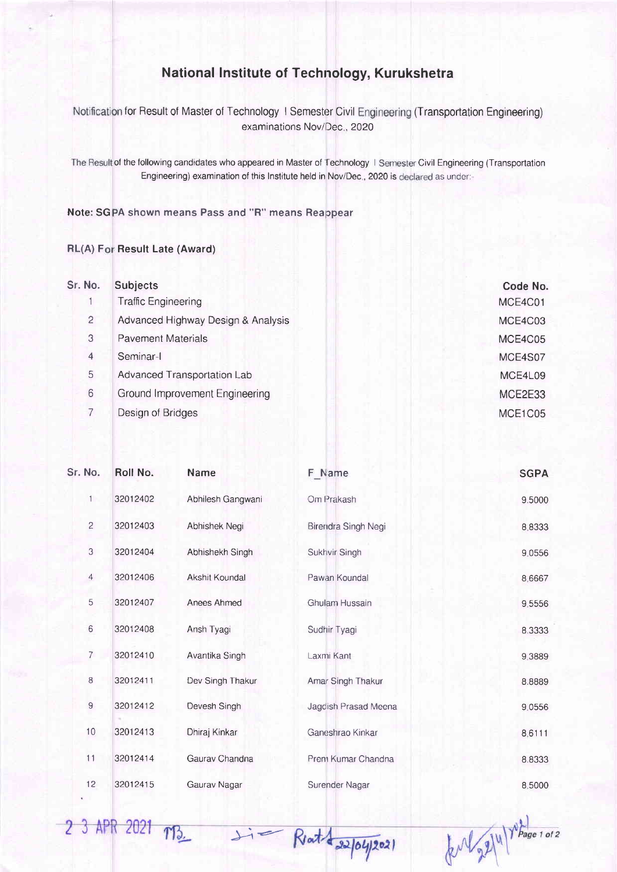## National lnstitute of Technology, Kurukshetra

for Result of Master of Technology I Semester Civil Engineering (Transportation Engineering examinations Nov/Dec, 2020

of the following candidates who appeared in Master of Technology I Semester Civil Engineering (Transportation Engineering) examination of this Institute held in Nov/Dec., 2020 is declared as under:-

## Note: SGPA shown means Pass and "R" means Reappear

## RL(A) For Result Late (Award)

2 3 APR 2021 TB

| Sr. No.        | <b>Subjects</b>                       | Code No. |
|----------------|---------------------------------------|----------|
|                | <b>Traffic Engineering</b>            | MCE4C01  |
| $\overline{2}$ | Advanced Highway Design & Analysis    | MCE4C03  |
| 3              | <b>Pavement Materials</b>             | MCE4C05  |
| 4              | Seminar-I                             | MCE4S07  |
| 5              | Advanced Transportation Lab           | MCE4L09  |
| 6              | <b>Ground Improvement Engineering</b> | MCE2E33  |
|                | Design of Bridges                     | MCE1C05  |

| Sr. No.        | Roll No. | Name              | F_Name               | <b>SGPA</b> |
|----------------|----------|-------------------|----------------------|-------------|
| 1              | 32012402 | Abhilesh Gangwani | Om Prakash           | 9.5000      |
| 2              | 32012403 | Abhishek Negi     | Birendra Singh Negi  | 8.8333      |
| 3              | 32012404 | Abhishekh Singh   | Sukhvir Singh        | 9.0556      |
| 4              | 32012406 | Akshit Koundal    | Pawan Koundal        | 8.6667      |
| 5              | 32012407 | Anees Ahmed       | Ghulam Hussain       | 9.5556      |
| 6              | 32012408 | Ansh Tyagi        | Sudhir Tyagi         | 8.3333      |
| $\overline{7}$ | 32012410 | Avantika Singh    | Laxmi Kant           | 9.3889      |
| 8              | 32012411 | Dev Singh Thakur  | Amar Singh Thakur    | 8.8889      |
| $\mathsf g$    | 32012412 | Devesh Singh      | Jagdish Prasad Meena | 9.0556      |
| 10             | 32012413 | Dhiraj Kinkar     | Ganeshrao Kinkar     | 8.6111      |
| 11             | 32012414 | Gaurav Chandna    | Prem Kumar Chandna   | 8.8333      |
| 12             | 32012415 | Gaurav Nagar      | Surender Nagar       | 8.5000      |

 $sin\theta$  Reat de 22/04/2021

 $k$   $\sqrt{2^{14}}$